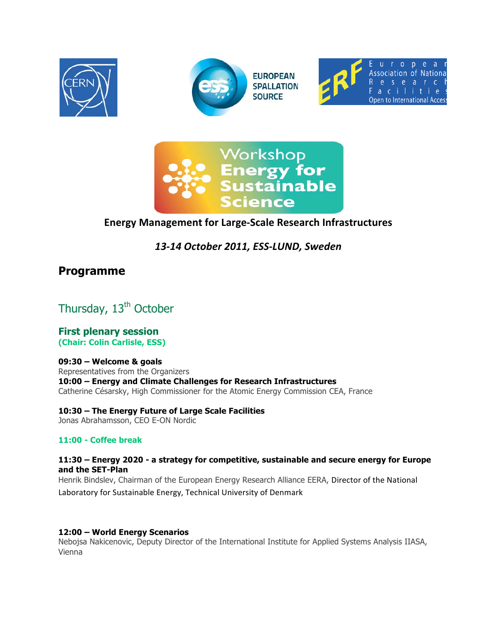







# **Energy Management for Large-Scale Research Infrastructures**

# 13-14 October 2011, ESS-LUND, Sweden

# **Programme**

Thursday, 13<sup>th</sup> October

**First plenary session** (Chair: Colin Carlisle, ESS)

# 09:30 - Welcome & goals

Representatives from the Organizers 10:00 - Energy and Climate Challenges for Research Infrastructures Catherine Césarsky, High Commissioner for the Atomic Energy Commission CEA, France

10:30 - The Energy Future of Large Scale Facilities Jonas Abrahamsson, CEO E-ON Nordic

# 11:00 - Coffee break

# 11:30 - Energy 2020 - a strategy for competitive, sustainable and secure energy for Europe and the SET-Plan

Henrik Bindslev, Chairman of the European Energy Research Alliance EERA, Director of the National Laboratory for Sustainable Energy, Technical University of Denmark

# 12:00 - World Energy Scenarios

Nebojsa Nakicenovic, Deputy Director of the International Institute for Applied Systems Analysis IIASA, Vienna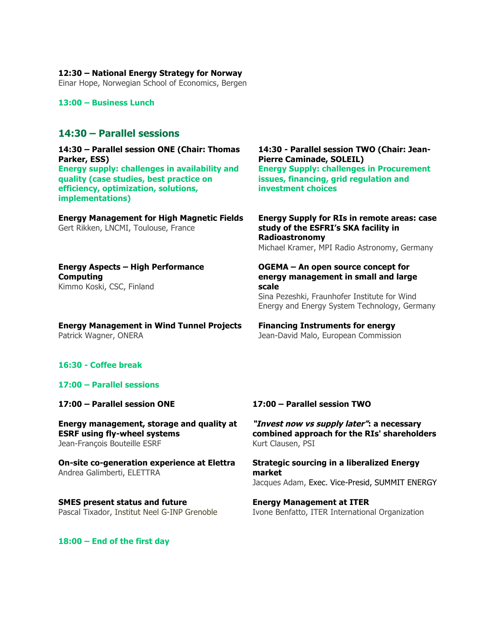**12:30 – National Energy Strategy for Norway**

Einar Hope, Norwegian School of Economics, Bergen

**13:00 – Business Lunch**

# **14:30 – Parallel sessions**

**14:30 – Parallel session ONE (Chair: Thomas Parker, ESS) Energy supply: challenges in availability and quality (case studies, best practice on efficiency, optimization, solutions, implementations)**

**Energy Management for High Magnetic Fields** Gert Rikken, LNCMI, Toulouse, France

**14:30 - Parallel session TWO (Chair: Jean-Pierre Caminade, SOLEIL) Energy Supply: challenges in Procurement issues, financing, grid regulation and investment choices**

**Energy Supply for RIs in remote areas: case study of the ESFRI's SKA facility in Radioastronomy** Michael Kramer, MPI Radio Astronomy, Germany

### **Energy Aspects – High Performance Computing** Kimmo Koski, CSC, Finland

**Energy Management in Wind Tunnel Projects** Patrick Wagner, ONERA

### **OGEMA – An open source concept for energy management in small and large scale**

Sina Pezeshki, Fraunhofer Institute for Wind Energy and Energy System Technology, Germany

# **Financing Instruments for energy**

Jean-David Malo, European Commission

# **16:30 - Coffee break**

### **17:00 – Parallel sessions**

**17:00 – Parallel session ONE**

**Energy management, storage and quality at ESRF using fly-wheel systems** Jean-François Bouteille ESRF

**On-site co-generation experience at Elettra**  Andrea Galimberti, ELETTRA

**SMES present status and future** Pascal Tixador, Institut Neel G-INP Grenoble

### **17:00 – Parallel session TWO**

**"Invest now vs supply later": a necessary combined approach for the RIs' shareholders**  Kurt Clausen, PSI

**Strategic sourcing in a liberalized Energy market**  Jacques Adam, Exec. Vice-Presid, SUMMIT ENERGY

### **Energy Management at ITER** Ivone Benfatto, ITER International Organization

**18:00 – End of the first day**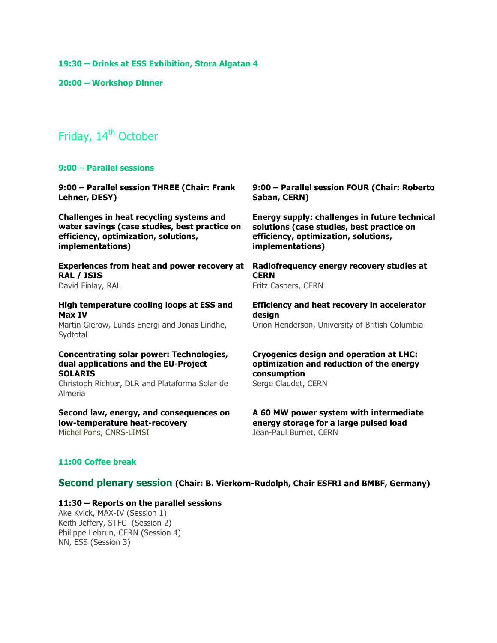**19:30 – Drinks at ESS Exhibition, Stora Algatan 4**

**20:00 – Workshop Dinner** 

# Friday, 14<sup>th</sup> October

#### **9:00 – Parallel sessions**

| 9:00 - Parallel session THREE (Chair: Frank                                                                                                                     | 9:00 - Parallel session FOUR (Chair: Roberto                                                                                     |
|-----------------------------------------------------------------------------------------------------------------------------------------------------------------|----------------------------------------------------------------------------------------------------------------------------------|
| Lehner, DESY)                                                                                                                                                   | Saban, CERN)                                                                                                                     |
| Challenges in heat recycling systems and                                                                                                                        | Energy supply: challenges in future technical                                                                                    |
| water savings (case studies, best practice on                                                                                                                   | solutions (case studies, best practice on                                                                                        |
| efficiency, optimization, solutions,                                                                                                                            | efficiency, optimization, solutions,                                                                                             |
| implementations)                                                                                                                                                | implementations)                                                                                                                 |
| <b>Experiences from heat and power recovery at</b>                                                                                                              | Radiofrequency energy recovery studies at                                                                                        |
| RAL / ISIS                                                                                                                                                      | <b>CERN</b>                                                                                                                      |
| David Finlay, RAL                                                                                                                                               | Fritz Caspers, CERN                                                                                                              |
| High temperature cooling loops at ESS and<br>Max IV<br>Martin Gierow, Lunds Energi and Jonas Lindhe,<br>Sydtotal                                                | <b>Efficiency and heat recovery in accelerator</b><br>design<br>Orion Henderson, University of British Columbia                  |
| Concentrating solar power: Technologies,<br>dual applications and the EU-Project<br><b>SOLARIS</b><br>Christoph Richter, DLR and Plataforma Solar de<br>Almeria | <b>Cryogenics design and operation at LHC:</b><br>optimization and reduction of the energy<br>consumption<br>Serge Claudet, CERN |
| Second law, energy, and consequences on                                                                                                                         | A 60 MW power system with intermediate                                                                                           |
| low-temperature heat-recovery                                                                                                                                   | energy storage for a large pulsed load                                                                                           |
| Michel Pons, CNRS-LIMSI                                                                                                                                         | Jean-Paul Burnet, CERN                                                                                                           |

## **11:00 Coffee break**

## **Second plenary session (Chair: B. Vierkorn-Rudolph, Chair ESFRI and BMBF, Germany)**

### **11:30 – Reports on the parallel sessions**

Ake Kvick, MAX-IV (Session 1) Keith Jeffery, STFC (Session 2) Philippe Lebrun, CERN (Session 4) NN, ESS (Session 3)